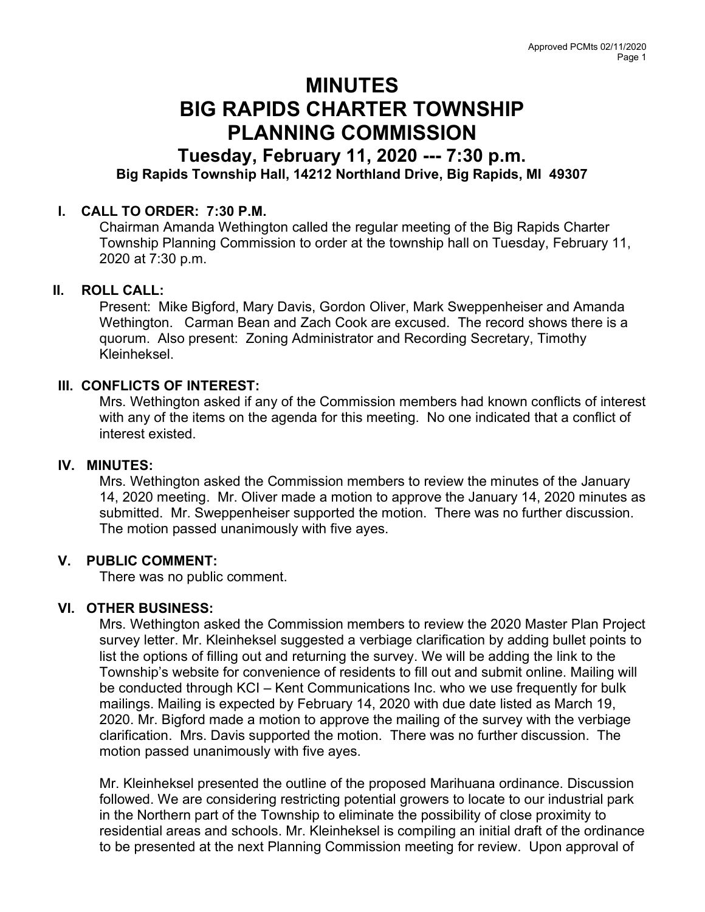# MINUTES BIG RAPIDS CHARTER TOWNSHIP PLANNING COMMISSION

## Tuesday, February 11, 2020 --- 7:30 p.m. Big Rapids Township Hall, 14212 Northland Drive, Big Rapids, MI 49307

### I. CALL TO ORDER: 7:30 P.M.

Chairman Amanda Wethington called the regular meeting of the Big Rapids Charter Township Planning Commission to order at the township hall on Tuesday, February 11, 2020 at 7:30 p.m.

#### II. ROLL CALL:

Present: Mike Bigford, Mary Davis, Gordon Oliver, Mark Sweppenheiser and Amanda Wethington. Carman Bean and Zach Cook are excused. The record shows there is a quorum. Also present: Zoning Administrator and Recording Secretary, Timothy Kleinheksel.

#### III. CONFLICTS OF INTEREST:

Mrs. Wethington asked if any of the Commission members had known conflicts of interest with any of the items on the agenda for this meeting. No one indicated that a conflict of interest existed.

#### IV. MINUTES:

Mrs. Wethington asked the Commission members to review the minutes of the January 14, 2020 meeting. Mr. Oliver made a motion to approve the January 14, 2020 minutes as submitted. Mr. Sweppenheiser supported the motion. There was no further discussion. The motion passed unanimously with five ayes.

#### V. PUBLIC COMMENT:

There was no public comment.

#### VI. OTHER BUSINESS:

Mrs. Wethington asked the Commission members to review the 2020 Master Plan Project survey letter. Mr. Kleinheksel suggested a verbiage clarification by adding bullet points to list the options of filling out and returning the survey. We will be adding the link to the Township's website for convenience of residents to fill out and submit online. Mailing will be conducted through KCI – Kent Communications Inc. who we use frequently for bulk mailings. Mailing is expected by February 14, 2020 with due date listed as March 19, 2020. Mr. Bigford made a motion to approve the mailing of the survey with the verbiage clarification. Mrs. Davis supported the motion. There was no further discussion. The motion passed unanimously with five ayes.

Mr. Kleinheksel presented the outline of the proposed Marihuana ordinance. Discussion followed. We are considering restricting potential growers to locate to our industrial park in the Northern part of the Township to eliminate the possibility of close proximity to residential areas and schools. Mr. Kleinheksel is compiling an initial draft of the ordinance to be presented at the next Planning Commission meeting for review. Upon approval of